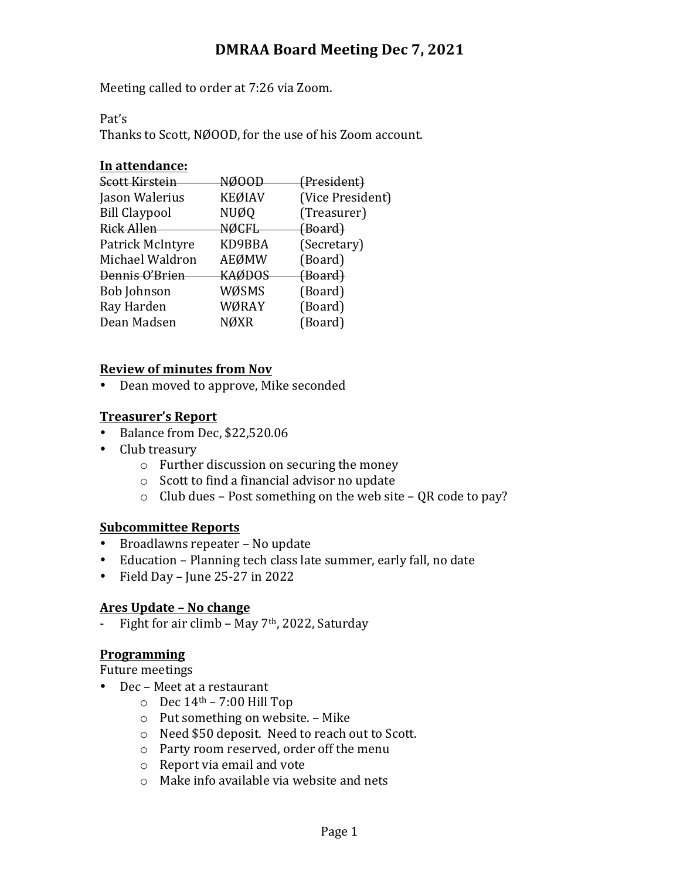## **DMRAA Board Meeting Dec 7, 2021**

Meeting called to order at 7:26 via Zoom.

Pat's

Thanks to Scott, NØOOD, for the use of his Zoom account.

#### In attendance:

| Scott Kirstein       | NØOO          | (President)        |
|----------------------|---------------|--------------------|
| Jason Walerius       | <b>KEØIAV</b> | (Vice President)   |
| <b>Bill Claypool</b> | NUØQ          | (Treasurer)        |
| Rick Allen           | <b>NØCFL</b>  | <del>(Board)</del> |
| Patrick McIntyre     | KD9BBA        | (Secretary)        |
| Michael Waldron      | AEØMW         | (Board)            |
| Dennis O'Brien       | KAØDOS        | (Board)            |
| Bob Johnson          | WØSMS         | (Board)            |
| Ray Harden           | WØRAY         | (Board)            |
| Dean Madsen          | <b>NØXR</b>   | (Board)            |
|                      |               |                    |

## **Review of minutes from Nov**

• Dean moved to approve, Mike seconded

## **Treasurer's Report**

- Balance from Dec, \$22,520.06
- Club treasury
	- $\circ$  Further discussion on securing the money
	- $\circ$  Scott to find a financial advisor no update
	- $\circ$  Club dues Post something on the web site QR code to pay?

## **Subcommittee Reports**

- Broadlawns repeater No update
- Education Planning tech class late summer, early fall, no date
- Field Day June  $25-27$  in  $2022$

## **Ares Update – No change**

- Fight for air climb – May  $7<sup>th</sup>$ , 2022, Saturday

## **Programming**

Future meetings

- Dec Meet at a restaurant
	- $\circ$  Dec 14<sup>th</sup> 7:00 Hill Top
	- $\circ$  Put something on website. Mike
	- o Need \$50 deposit. Need to reach out to Scott.
	- o Party room reserved, order off the menu
	- $\circ$  Report via email and vote
	- $\circ$  Make info available via website and nets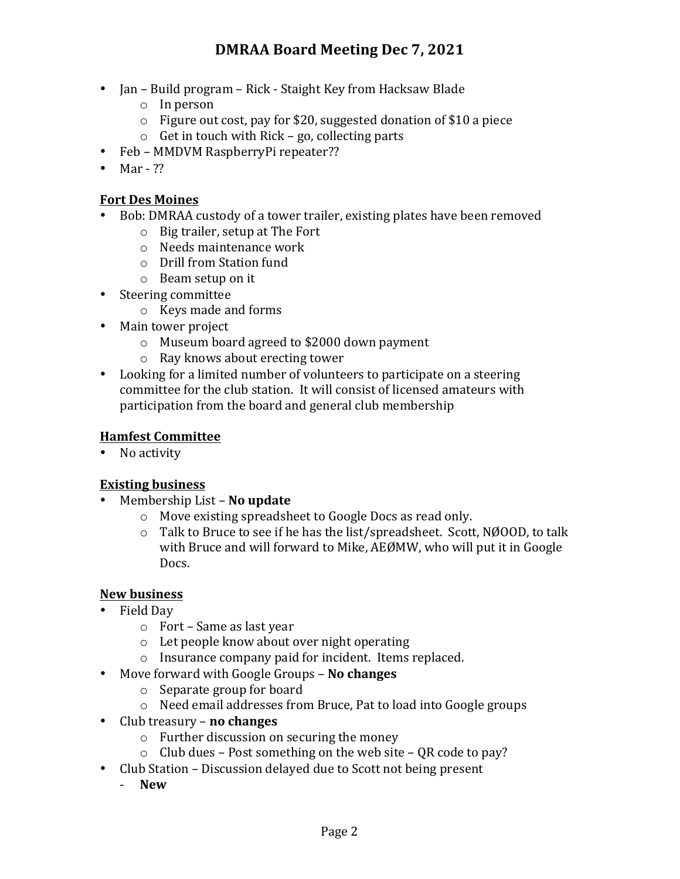- Jan Build program Rick Staight Key from Hacksaw Blade
	- $\circ$  In person
	- $\circ$  Figure out cost, pay for \$20, suggested donation of \$10 a piece
	- $\circ$  Get in touch with Rick go, collecting parts
- Feb MMDVM RaspberryPi repeater??
- $•$  Mar ??

## **Fort Des Moines**

- Bob: DMRAA custody of a tower trailer, existing plates have been removed
	- $\circ$  Big trailer, setup at The Fort
	- $\circ$  Needs maintenance work
	- $\circ$  Drill from Station fund
	- $\circ$  Beam setup on it
- Steering committee
	- o Keys made and forms
- Main tower project
	- o Museum board agreed to \$2000 down payment
	- $\circ$  Ray knows about erecting tower
- Looking for a limited number of volunteers to participate on a steering committee for the club station. It will consist of licensed amateurs with participation from the board and general club membership

## **Hamfest Committee**

• No activity

## **Existing business**

- Membership List **No update** 
	- $\circ$  Move existing spreadsheet to Google Docs as read only.
	- $\circ$  Talk to Bruce to see if he has the list/spreadsheet. Scott, NØOOD, to talk with Bruce and will forward to Mike, AEØMW, who will put it in Google Docs.

## **New business**

- Field Day
	- $\circ$  Fort Same as last year
	- $\circ$  Let people know about over night operating
	- $\circ$  Insurance company paid for incident. Items replaced.
- Move forward with Google Groups **No changes** 
	- $\circ$  Separate group for board
	- $\circ$  Need email addresses from Bruce, Pat to load into Google groups
- Club treasury **no changes** 
	- $\circ$  Further discussion on securing the money
	- $\circ$  Club dues Post something on the web site QR code to pay?
- Club Station Discussion delayed due to Scott not being present
	- **New**